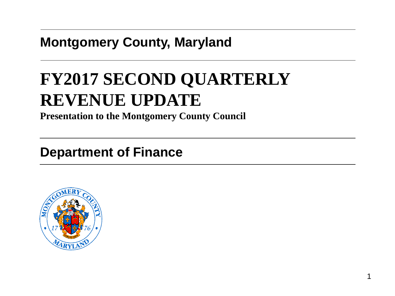### **Montgomery County, Maryland**

# **FY2017 SECOND QUARTERLY REVENUE UPDATE**

**Presentation to the Montgomery County Council**

### **Department of Finance**

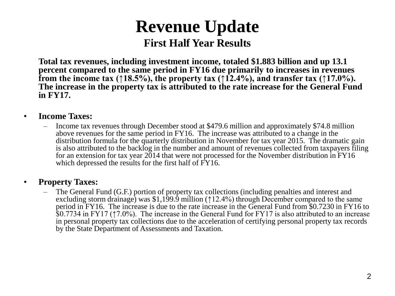**Total tax revenues, including investment income, totaled \$1.883 billion and up 13.1 percent compared to the same period in FY16 due primarily to increases in revenues from the income tax (↑18.5%), the property tax (↑12.4%), and transfer tax (↑17.0%). The increase in the property tax is attributed to the rate increase for the General Fund in FY17.**

#### • **Income Taxes:**

– Income tax revenues through December stood at \$479.6 million and approximately \$74.8 million above revenues for the same period in FY16. The increase was attributed to a change in the distribution formula for the quarterly distribution in November for tax year 2015. The dramatic gain is also attributed to the backlog in the number and amount of revenues collected from taxpayers filing for an extension for tax year 2014 that were not processed for the November distribution in FY16 which depressed the results for the first half of  $\overline{fY}16$ .

#### • **Property Taxes:**

– The General Fund (G.F.) portion of property tax collections (including penalties and interest and excluding storm drainage) was \$1,199.9 million (↑12.4%) through December compared to the same period in FY16. The increase is due to the rate increase in the General Fund from \$0.7230 in FY16 to \$0.7734 in FY17 (↑7.0%). The increase in the General Fund for FY17 is also attributed to an increase in personal property tax collections due to the acceleration of certifying personal property tax records by the State Department of Assessments and Taxation.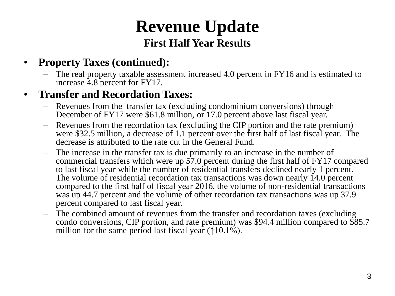### • **Property Taxes (continued):**

– The real property taxable assessment increased 4.0 percent in FY16 and is estimated to increase 4.8 percent for FY17.

#### • **Transfer and Recordation Taxes:**

- Revenues from the transfer tax (excluding condominium conversions) through December of FY17 were \$61.8 million, or 17.0 percent above last fiscal year.
- Revenues from the recordation tax (excluding the CIP portion and the rate premium) were \$32.5 million, a decrease of 1.1 percent over the first half of last fiscal year. The decrease is attributed to the rate cut in the General Fund.
- The increase in the transfer tax is due primarily to an increase in the number of commercial transfers which were up 57.0 percent during the first half of FY17 compared to last fiscal year while the number of residential transfers declined nearly 1 percent. The volume of residential recordation tax transactions was down nearly 14.0 percent compared to the first half of fiscal year 2016, the volume of non-residential transactions was up 44.7 percent and the volume of other recordation tax transactions was up 37.9 percent compared to last fiscal year.
- The combined amount of revenues from the transfer and recordation taxes (excluding condo conversions, CIP portion, and rate premium) was \$94.4 million compared to \$85.7 million for the same period last fiscal year  $(10.1\%)$ .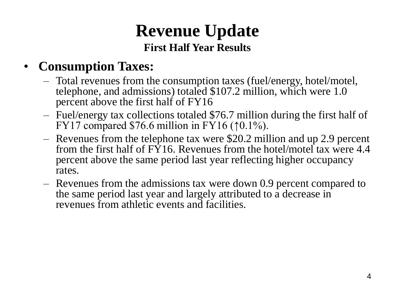### • **Consumption Taxes:**

- Total revenues from the consumption taxes (fuel/energy, hotel/motel, telephone, and admissions) totaled \$107.2 million, which were 1.0 percent above the first half of FY16
- Fuel/energy tax collections totaled \$76.7 million during the first half of FY17 compared  $$76.6$  million in FY16 ( $\uparrow$ 0.1%).
- Revenues from the telephone tax were \$20.2 million and up 2.9 percent from the first half of FY16. Revenues from the hotel/motel tax were 4.4 percent above the same period last year reflecting higher occupancy rates.
- Revenues from the admissions tax were down 0.9 percent compared to the same period last year and largely attributed to a decrease in revenues from athletic events and facilities.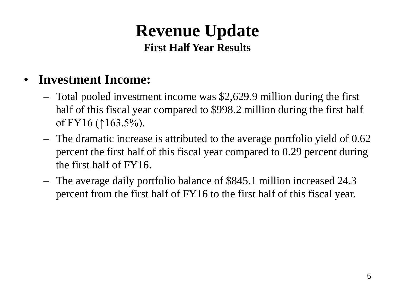### • **Investment Income:**

- Total pooled investment income was \$2,629.9 million during the first half of this fiscal year compared to \$998.2 million during the first half of FY16 (↑163.5%).
- The dramatic increase is attributed to the average portfolio yield of 0.62 percent the first half of this fiscal year compared to 0.29 percent during the first half of FY16.
- The average daily portfolio balance of \$845.1 million increased 24.3 percent from the first half of FY16 to the first half of this fiscal year.